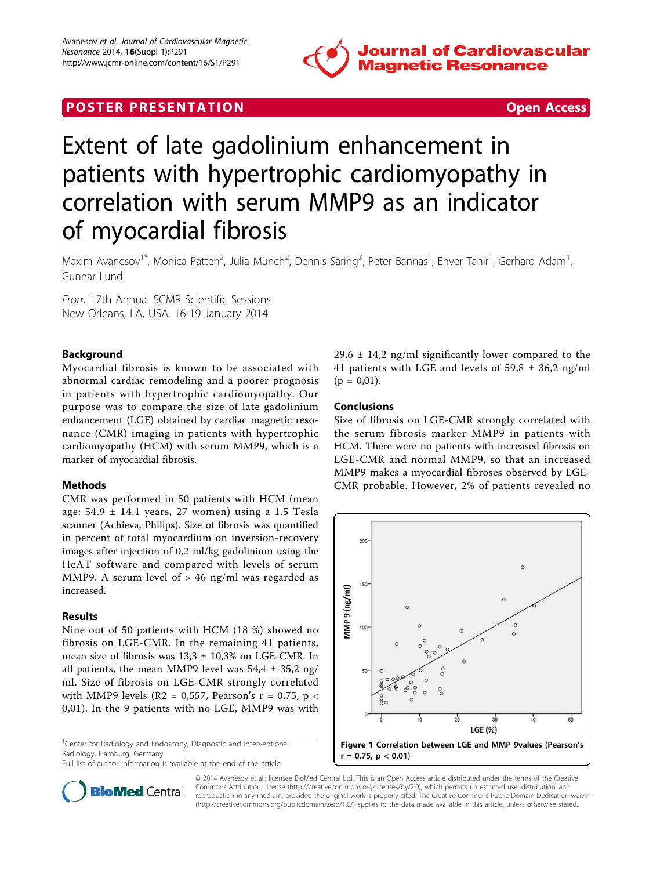

# **POSTER PRESENTATION CONSUMING THE SECOND CONSUMING THE SECOND CONSUMING THE SECOND CONSUMING THE SECOND CONSUMING THE SECOND CONSUMING THE SECOND CONSUMING THE SECOND CONSUMING THE SECOND CONSUMING THE SECOND CONSUMING**



# Extent of late gadolinium enhancement in patients with hypertrophic cardiomyopathy in correlation with serum MMP9 as an indicator of myocardial fibrosis

Maxim Avanesov<sup>1\*</sup>, Monica Patten<sup>2</sup>, Julia Münch<sup>2</sup>, Dennis Säring<sup>3</sup>, Peter Bannas<sup>1</sup>, Enver Tahir<sup>1</sup>, Gerhard Adam<sup>1</sup> , Gunnar Lund<sup>1</sup>

From 17th Annual SCMR Scientific Sessions New Orleans, LA, USA. 16-19 January 2014

## Background

Myocardial fibrosis is known to be associated with abnormal cardiac remodeling and a poorer prognosis in patients with hypertrophic cardiomyopathy. Our purpose was to compare the size of late gadolinium enhancement (LGE) obtained by cardiac magnetic resonance (CMR) imaging in patients with hypertrophic cardiomyopathy (HCM) with serum MMP9, which is a marker of myocardial fibrosis.

#### Methods

CMR was performed in 50 patients with HCM (mean age: 54.9 ± 14.1 years, 27 women) using a 1.5 Tesla scanner (Achieva, Philips). Size of fibrosis was quantified in percent of total myocardium on inversion-recovery images after injection of 0,2 ml/kg gadolinium using the HeAT software and compared with levels of serum MMP9. A serum level of > 46 ng/ml was regarded as increased.

#### Results

Nine out of 50 patients with HCM (18 %) showed no fibrosis on LGE-CMR. In the remaining 41 patients, mean size of fibrosis was  $13.3 \pm 10.3\%$  on LGE-CMR. In all patients, the mean MMP9 level was  $54.4 \pm 35.2$  ng/ ml. Size of fibrosis on LGE-CMR strongly correlated with MMP9 levels (R2 = 0,557, Pearson's  $r = 0.75$ , p < 0,01). In the 9 patients with no LGE, MMP9 was with

<sup>1</sup>Center for Radiology and Endoscopy, Diagnostic and Interventional Radiology, Hamburg, Germany

Full list of author information is available at the end of the article



## Conclusions

Size of fibrosis on LGE-CMR strongly correlated with the serum fibrosis marker MMP9 in patients with HCM. There were no patients with increased fibrosis on LGE-CMR and normal MMP9, so that an increased MMP9 makes a myocardial fibroses observed by LGE-CMR probable. However, 2% of patients revealed no





© 2014 Avanesov et al.; licensee BioMed Central Ltd. This is an Open Access article distributed under the terms of the Creative Commons Attribution License [\(http://creativecommons.org/licenses/by/2.0](http://creativecommons.org/licenses/by/2.0)), which permits unrestricted use, distribution, and reproduction in any medium, provided the original work is properly cited. The Creative Commons Public Domain Dedication waiver [\(http://creativecommons.org/publicdomain/zero/1.0/](http://creativecommons.org/publicdomain/zero/1.0/)) applies to the data made available in this article, unless otherwise stated.